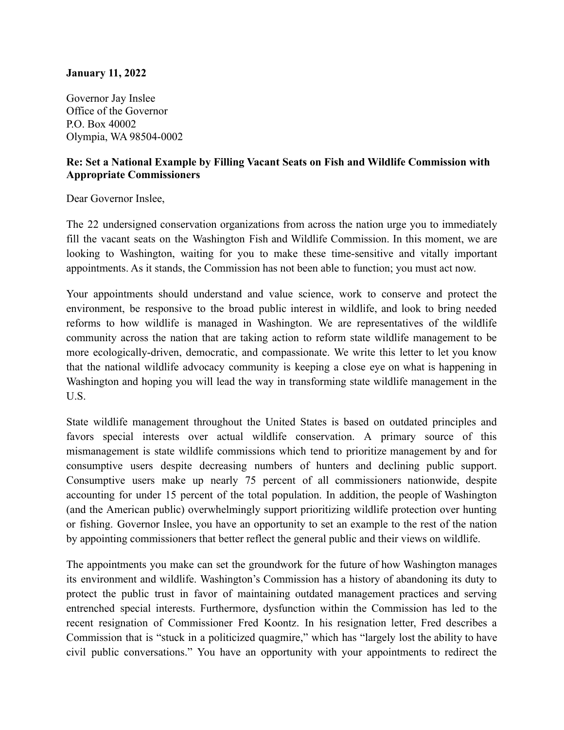## **January 11, 2022**

Governor Jay Inslee Office of the Governor P.O. Box 40002 Olympia, WA 98504-0002

## **Re: Set a National Example by Filling Vacant Seats on Fish and Wildlife Commission with Appropriate Commissioners**

Dear Governor Inslee,

The 22 undersigned conservation organizations from across the nation urge you to immediately fill the vacant seats on the Washington Fish and Wildlife Commission. In this moment, we are looking to Washington, waiting for you to make these time-sensitive and vitally important appointments. As it stands, the Commission has not been able to function; you must act now.

Your appointments should understand and value science, work to conserve and protect the environment, be responsive to the broad public interest in wildlife, and look to bring needed reforms to how wildlife is managed in Washington. We are representatives of the wildlife community across the nation that are taking action to reform state wildlife management to be more ecologically-driven, democratic, and compassionate. We write this letter to let you know that the national wildlife advocacy community is keeping a close eye on what is happening in Washington and hoping you will lead the way in transforming state wildlife management in the U.S.

State wildlife management throughout the United States is based on outdated principles and favors special interests over actual wildlife conservation. A primary source of this mismanagement is state wildlife commissions which tend to prioritize management by and for consumptive users despite decreasing numbers of hunters and declining public support. Consumptive users make up nearly 75 percent of all commissioners nationwide, despite accounting for under 15 percent of the total population. In addition, the people of Washington (and the American public) overwhelmingly support prioritizing wildlife protection over hunting or fishing. Governor Inslee, you have an opportunity to set an example to the rest of the nation by appointing commissioners that better reflect the general public and their views on wildlife.

The appointments you make can set the groundwork for the future of how Washington manages its environment and wildlife. Washington's Commission has a history of abandoning its duty to protect the public trust in favor of maintaining outdated management practices and serving entrenched special interests. Furthermore, dysfunction within the Commission has led to the recent resignation of Commissioner Fred Koontz. In his resignation letter, Fred describes a Commission that is "stuck in a politicized quagmire," which has "largely lost the ability to have civil public conversations." You have an opportunity with your appointments to redirect the